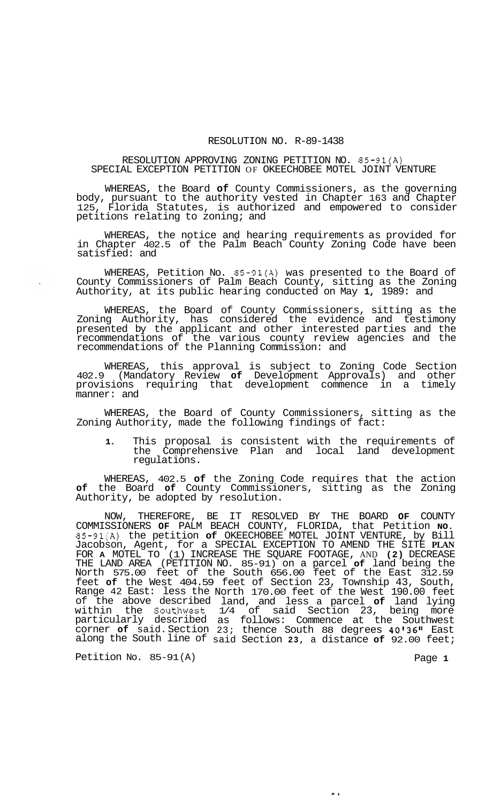## RESOLUTION NO. R-89-1438

## RESOLUTION APPROVING ZONING PETITION NO. 85-91(A) SPECIAL EXCEPTION PETITION OF OKEECHOBEE MOTEL JOINT VENTURE

WHEREAS, the Board **of** County Commissioners, as the governing body, pursuant to the authority vested in Chapter 163 and Chapter 125, Florida Statutes, is authorized and empowered to consider petitions relating to zoning; and

WHEREAS, the notice and hearing requirements as provided for in Chapter 402.5 of the Palm Beach County Zoning Code have been satisfied: and

WHEREAS, Petition No. 85-91(A) was presented to the Board of County Commissioners of Palm Beach County, sitting as the Zoning Authority, at its public hearing conducted on May **1,** 1989: and

WHEREAS, the Board of County Commissioners, sitting as the Zoning Authority, has considered the evidence and testimony presented by the applicant and other interested parties and the recommendations of the various county review agencies and the recommendations of the Planning Commission: and

WHEREAS, this approval is subject to Zoning Code Section 402.9 (Mandatory Review **of** Development Approvals) and other provisions requiring that development commence in a timely manner: and

WHEREAS, the Board of County Commissioners, sitting as the Zoning Authority, made the following findings of fact:

**1.** This proposal is consistent with the requirements of the Comprehensive Plan and local land development regulations.

WHEREAS, 402.5 **of** the Zoning Code requires that the action **of** the Board **of** County Commissioners, sitting as the Zoning Authority, be adopted by resolution.

NOW, THEREFORE, BE IT RESOLVED BY THE BOARD **OF** COUNTY COMMISSIONERS **OF** PALM BEACH COUNTY, FLORIDA, that Petition **NO.**  85-91(A) the petition **of** OKEECHOBEE MOTEL JOINT VENTURE, by Bill Jacobson, Agent, for a SPECIAL EXCEPTION TO AMEND THE SITE **PLAN**  FOR **A** MOTEL TO (1) INCREASE THE SQUARE FOOTAGE, AND **(2)** DECREASE THE LAND AREA (PETITION NO. 85-91) on a parcel **of** land being the North 575.00 feet of the South 656.00 feet of the East 312.59 feet **of** the West 404.59 feet of Section 23, Township 43, South, Range 42 East: less the of the above described within the Southwest particularly described corner **of** said. Section along the South line of North 170.00 feet of the West 190.00 feet land, and less a parcel **of** land lying 1/4 of said Section 23, being more as follows: Commence at the Southwest 23; thence South 88 degrees 40'36" East said Section **23,** a distance **of** 92.00 feet;

Petition No. 85-91(A) Petition No. 85-91(A)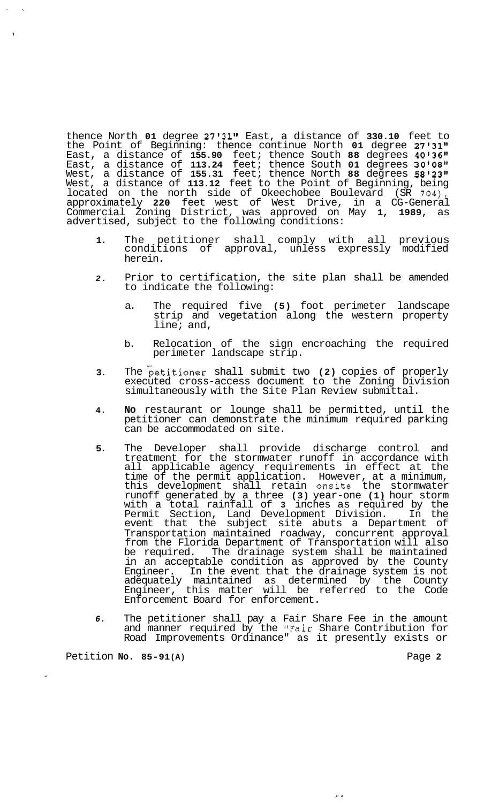thence North **01** degree **27'3111** East, a distance of **330.10** feet to the Point of Beginning: thence continue North 01 degree 27'31" East, a distance of **155.90** feet; thence South **88** degrees **4O136I1**  East, a distance of **113.24** feet; thence South **01** degrees **301088t**  West, a distance of **155.31** feet; thence North **88** degrees **58I23l1**  West, a distance of **113.12** feet to the Point of Beginning, being located on the north side of Okeechobee Boulevard (SR **704),**  approximately **220** feet west of West Drive, in a CG-General Commercial Zoning District, was approved on May **1, 1989,** as advertised, subject to the following conditions:

- **1.**  The petitioner shall comply with all previous conditions of approval, unless expressly modified herein.
- *2.*  Prior to certification, the site plan shall be amended to indicate the following:
	- a. The required five **(5)** foot perimeter landscape strip and vegetation along the western property line; and,
	- b. Relocation of the sign encroaching the required perimeter landscape strip.
- **3.**  The petitioner shall submit two **(2)** copies of properly executed cross-access document to the Zoning Division simultaneously with the Site Plan Review submittal.
- **4. No** restaurant or lounge shall be permitted, until the petitioner can demonstrate the minimum required parking can be accommodated on site.
- **5.**  The Developer shall provide discharge control and treatment for the stormwater runoff in accordance with all applicable agency requirements in effect at the time of the permit application. However, at a minimum, this development shall retain onsite the stormwater runoff generated by a three **(3)** year-one **(1)** hour storm with a total rainfall of **3** inches as required by the Permit Section, Land Development Division. In the event that the subject site abuts a Department of Transportation maintained roadway, concurrent approval from the Florida Department of Transportation will also<br>be required. The drainage system shall be maintained The drainage system shall be maintained in an acceptable condition as approved by the County Engineer. In the event that the drainage system is not adequately maintained as determined by the County Engineer, this matter will be referred to the Code Enforcement Board for enforcement.
- *6.*  The petitioner shall pay a Fair Share Fee in the amount and manner required by the "Fair Share Contribution for Road Improvements Ordinance" as it presently exists or

وأردي

Petition **No.** 85-91(A) **Petition Page 2**